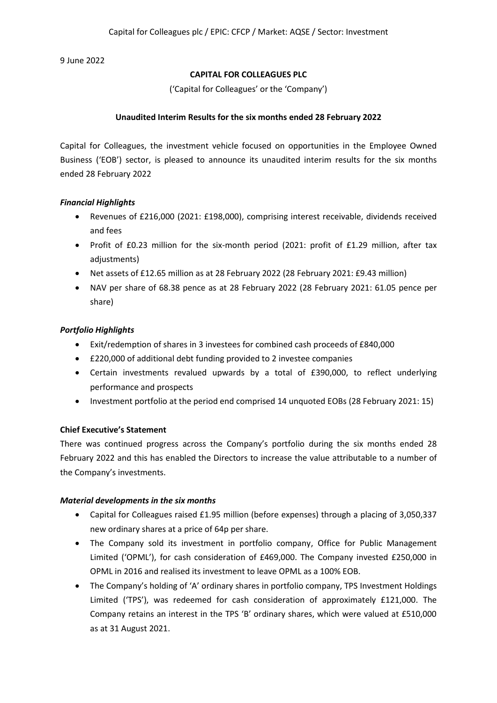9 June 2022

## **CAPITAL FOR COLLEAGUES PLC**

('Capital for Colleagues' or the 'Company')

## **Unaudited Interim Results for the six months ended 28 February 2022**

Capital for Colleagues, the investment vehicle focused on opportunities in the Employee Owned Business ('EOB') sector, is pleased to announce its unaudited interim results for the six months ended 28 February 2022

## *Financial Highlights*

- Revenues of £216,000 (2021: £198,000), comprising interest receivable, dividends received and fees
- Profit of £0.23 million for the six-month period (2021: profit of £1.29 million, after tax adjustments)
- Net assets of £12.65 million as at 28 February 2022 (28 February 2021: £9.43 million)
- NAV per share of 68.38 pence as at 28 February 2022 (28 February 2021: 61.05 pence per share)

# *Portfolio Highlights*

- Exit/redemption of shares in 3 investees for combined cash proceeds of £840,000
- £220,000 of additional debt funding provided to 2 investee companies
- Certain investments revalued upwards by a total of £390,000, to reflect underlying performance and prospects
- Investment portfolio at the period end comprised 14 unquoted EOBs (28 February 2021: 15)

# **Chief Executive's Statement**

There was continued progress across the Company's portfolio during the six months ended 28 February 2022 and this has enabled the Directors to increase the value attributable to a number of the Company's investments.

### *Material developments in the six months*

- Capital for Colleagues raised £1.95 million (before expenses) through a placing of 3,050,337 new ordinary shares at a price of 64p per share.
- The Company sold its investment in portfolio company, Office for Public Management Limited ('OPML'), for cash consideration of £469,000. The Company invested £250,000 in OPML in 2016 and realised its investment to leave OPML as a 100% EOB.
- The Company's holding of 'A' ordinary shares in portfolio company, TPS Investment Holdings Limited ('TPS'), was redeemed for cash consideration of approximately £121,000. The Company retains an interest in the TPS 'B' ordinary shares, which were valued at £510,000 as at 31 August 2021.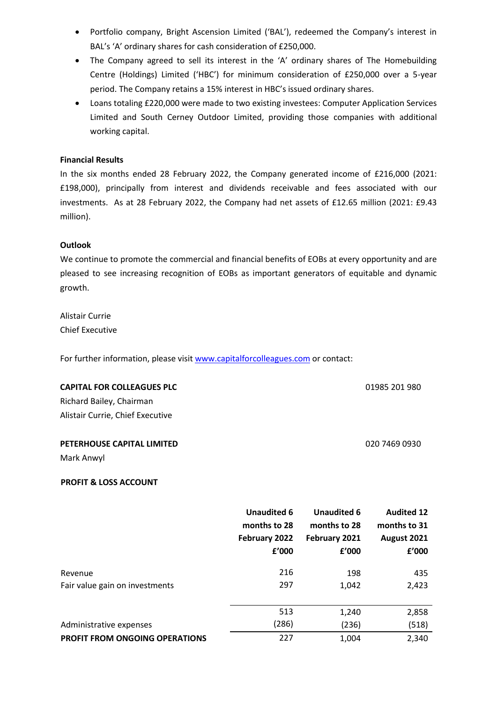- Portfolio company, Bright Ascension Limited ('BAL'), redeemed the Company's interest in BAL's 'A' ordinary shares for cash consideration of £250,000.
- The Company agreed to sell its interest in the 'A' ordinary shares of The Homebuilding Centre (Holdings) Limited ('HBC') for minimum consideration of £250,000 over a 5-year period. The Company retains a 15% interest in HBC's issued ordinary shares.
- Loans totaling £220,000 were made to two existing investees: Computer Application Services Limited and South Cerney Outdoor Limited, providing those companies with additional working capital.

### **Financial Results**

In the six months ended 28 February 2022, the Company generated income of £216,000 (2021: £198,000), principally from interest and dividends receivable and fees associated with our investments. As at 28 February 2022, the Company had net assets of £12.65 million (2021: £9.43 million).

#### **Outlook**

We continue to promote the commercial and financial benefits of EOBs at every opportunity and are pleased to see increasing recognition of EOBs as important generators of equitable and dynamic growth.

01985 201 980

020 7469 0930

Alistair Currie Chief Executive

For further information, please visi[t www.capitalforcolleagues.com](http://www.capitalforcolleagues.com/) or contact:

|  |  |  | <b>CAPITAL FOR COLLEAGUES PLC</b> |
|--|--|--|-----------------------------------|
|--|--|--|-----------------------------------|

Richard Bailey, Chairman Alistair Currie, Chief Executive

#### **PETERHOUSE CAPITAL LIMITED**

Mark Anwyl

### **PROFIT & LOSS ACCOUNT**

|                                           | <b>Unaudited 6</b><br>months to 28<br>February 2022<br>£'000 | <b>Unaudited 6</b><br>months to 28<br>February 2021<br>f'000 | <b>Audited 12</b><br>months to 31<br>August 2021<br>f'000 |
|-------------------------------------------|--------------------------------------------------------------|--------------------------------------------------------------|-----------------------------------------------------------|
| Revenue<br>Fair value gain on investments | 216<br>297                                                   | 198<br>1,042                                                 | 435<br>2,423                                              |
|                                           |                                                              |                                                              |                                                           |
|                                           | 513                                                          | 1,240                                                        | 2,858                                                     |
| Administrative expenses                   | (286)                                                        | (236)                                                        | (518)                                                     |
| <b>PROFIT FROM ONGOING OPERATIONS</b>     | 227                                                          | 1,004                                                        | 2,340                                                     |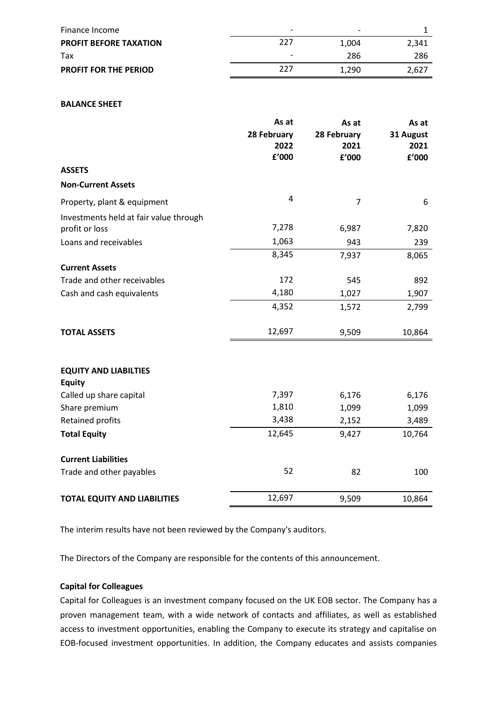| Finance Income                | $\overline{\phantom{0}}$ | $\overline{\phantom{0}}$ |       |
|-------------------------------|--------------------------|--------------------------|-------|
| <b>PROFIT BEFORE TAXATION</b> | ววว                      | 1.004                    | 2.341 |
| Tax                           | $\overline{\phantom{0}}$ | 286                      | 286   |
| <b>PROFIT FOR THE PERIOD</b>  | ววว                      | 1.290                    | 2.627 |

#### **BALANCE SHEET**

|                                               | As at<br>28 February<br>2022 | As at<br>28 February<br>2021 | As at<br>31 August<br>2021 |
|-----------------------------------------------|------------------------------|------------------------------|----------------------------|
|                                               | f'000                        | f'000                        | f'000                      |
| <b>ASSETS</b>                                 |                              |                              |                            |
| <b>Non-Current Assets</b>                     |                              |                              |                            |
| Property, plant & equipment                   | $\overline{4}$               | 7                            | 6                          |
| Investments held at fair value through        |                              |                              |                            |
| profit or loss                                | 7,278                        | 6,987                        | 7,820                      |
| Loans and receivables                         | 1,063                        | 943                          | 239                        |
|                                               | 8,345                        | 7,937                        | 8,065                      |
| <b>Current Assets</b>                         |                              |                              |                            |
| Trade and other receivables                   | 172                          | 545                          | 892                        |
| Cash and cash equivalents                     | 4,180                        | 1,027                        | 1,907                      |
|                                               | 4,352                        | 1,572                        | 2,799                      |
| <b>TOTAL ASSETS</b>                           | 12,697                       | 9,509                        | 10,864                     |
| <b>EQUITY AND LIABILTIES</b><br><b>Equity</b> |                              |                              |                            |
| Called up share capital                       | 7,397                        | 6,176                        | 6,176                      |
| Share premium                                 | 1,810                        | 1,099                        | 1,099                      |
| <b>Retained profits</b>                       | 3,438                        | 2,152                        | 3,489                      |
| <b>Total Equity</b>                           | 12,645                       | 9,427                        | 10,764                     |
| <b>Current Liabilities</b>                    |                              |                              |                            |
| Trade and other payables                      | 52                           | 82                           | 100                        |
| <b>TOTAL EQUITY AND LIABILITIES</b>           | 12,697                       | 9,509                        | 10,864                     |

The interim results have not been reviewed by the Company's auditors.

The Directors of the Company are responsible for the contents of this announcement.

#### **Capital for Colleagues**

Capital for Colleagues is an investment company focused on the UK EOB sector. The Company has a proven management team, with a wide network of contacts and affiliates, as well as established access to investment opportunities, enabling the Company to execute its strategy and capitalise on EOB-focused investment opportunities. In addition, the Company educates and assists companies